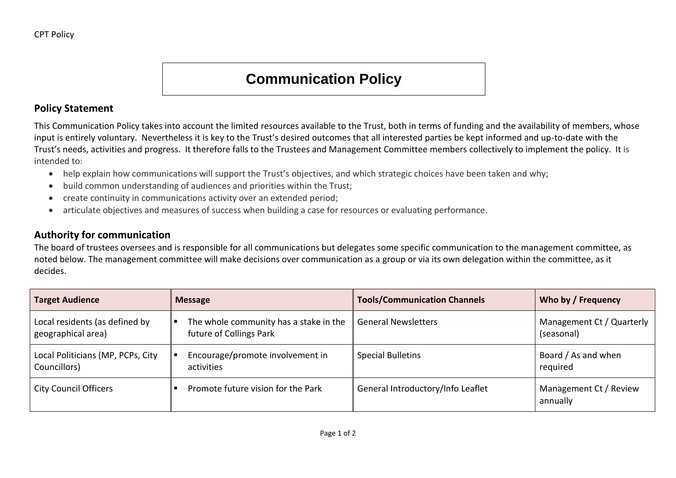## **Communication Policy**

## **Policy Statement**

This Communication Policy takes into account the limited resources available to the Trust, both in terms of funding and the availability of members, whose input is entirely voluntary. Nevertheless it is key to the Trust's desired outcomes that all interested parties be kept informed and up-to-date with the Trust's needs, activities and progress. It therefore falls to the Trustees and Management Committee members collectively to implement the policy. It is intended to:

- help explain how communications will support the Trust's objectives, and which strategic choices have been taken and why;
- build common understanding of audiences and priorities within the Trust;
- create continuity in communications activity over an extended period;
- articulate objectives and measures of success when building a case for resources or evaluating performance.

## **Authority for communication**

The board of trustees oversees and is responsible for all communications but delegates some specific communication to the management committee, as noted below. The management committee will make decisions over communication as a group or via its own delegation within the committee, as it decides.

| <b>Target Audience</b>            | <b>Message</b>                         | <b>Tools/Communication Channels</b> | Who by / Frequency                 |
|-----------------------------------|----------------------------------------|-------------------------------------|------------------------------------|
| Local residents (as defined by    | The whole community has a stake in the | <b>General Newsletters</b>          | Management Ct / Quarterly          |
| geographical area)                | future of Collings Park                |                                     | (seasonal)                         |
| Local Politicians (MP, PCPs, City | Encourage/promote involvement in       | <b>Special Bulletins</b>            | Board / As and when                |
| Councillors)                      | activities                             |                                     | required                           |
| <b>City Council Officers</b>      | Promote future vision for the Park     | General Introductory/Info Leaflet   | Management Ct / Review<br>annually |